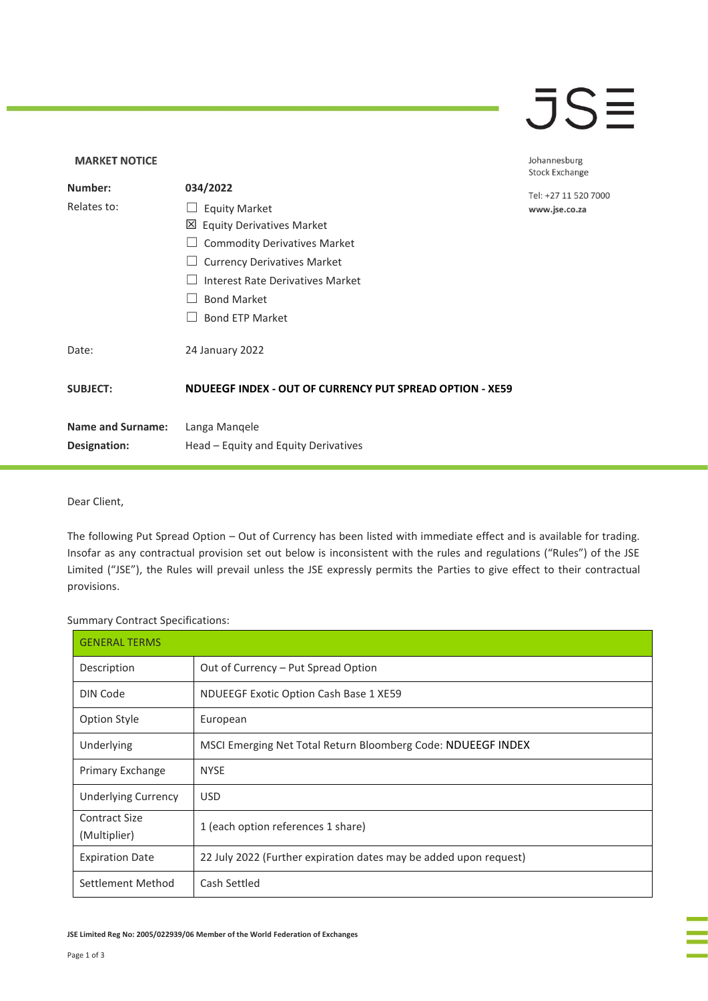### $\overline{\mathsf{J}}\mathsf{S}\overline{\Xi}$

### **MARKET NOTICE** Johannesburg **Stock Exchange Number: 034/2022** Tel: +27 11 520 7000 Relates to: □ Equity Market www.jse.co.za Equity Derivatives Market □ Commodity Derivatives Market □ Currency Derivatives Market ☐ Interest Rate Derivatives Market ☐ Bond Market □ Bond ETP Market Date: 24 January 2022 **SUBJECT: NDUEEGF INDEX - OUT OF CURRENCY PUT SPREAD OPTION - XE59 Name and Surname:** Langa Manqele **Designation:** Head – Equity and Equity Derivatives

#### Dear Client,

The following Put Spread Option – Out of Currency has been listed with immediate effect and is available for trading. Insofar as any contractual provision set out below is inconsistent with the rules and regulations ("Rules") of the JSE Limited ("JSE"), the Rules will prevail unless the JSE expressly permits the Parties to give effect to their contractual provisions.

Summary Contract Specifications:

| <b>GENERAL TERMS</b>                 |                                                                   |
|--------------------------------------|-------------------------------------------------------------------|
| Description                          | Out of Currency - Put Spread Option                               |
| DIN Code                             | <b>NDUEEGF Exotic Option Cash Base 1 XE59</b>                     |
| <b>Option Style</b>                  | European                                                          |
| Underlying                           | MSCI Emerging Net Total Return Bloomberg Code: NDUEEGF INDEX      |
| Primary Exchange                     | <b>NYSE</b>                                                       |
| Underlying Currency                  | <b>USD</b>                                                        |
| <b>Contract Size</b><br>(Multiplier) | 1 (each option references 1 share)                                |
| <b>Expiration Date</b>               | 22 July 2022 (Further expiration dates may be added upon request) |
| Settlement Method                    | Cash Settled                                                      |

**JSE Limited Reg No: 2005/022939/06 Member of the World Federation of Exchanges**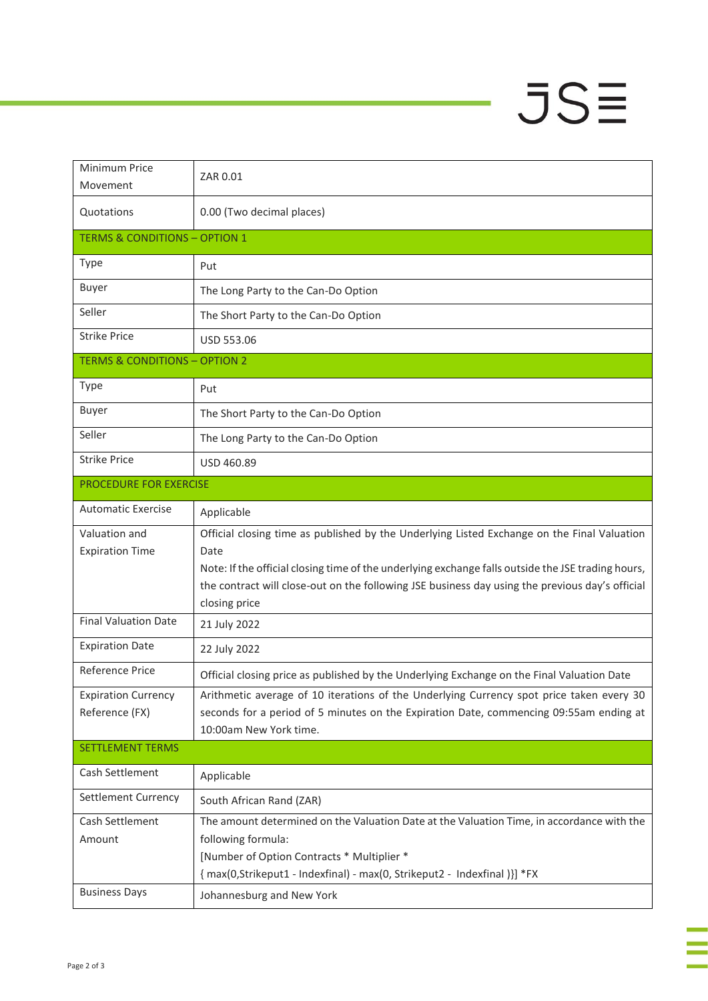# $JSE$

| Minimum Price<br>Movement                    | ZAR 0.01                                                                                                                                                                                                                                                                                                                      |
|----------------------------------------------|-------------------------------------------------------------------------------------------------------------------------------------------------------------------------------------------------------------------------------------------------------------------------------------------------------------------------------|
| Quotations                                   | 0.00 (Two decimal places)                                                                                                                                                                                                                                                                                                     |
| <b>TERMS &amp; CONDITIONS - OPTION 1</b>     |                                                                                                                                                                                                                                                                                                                               |
| <b>Type</b>                                  | Put                                                                                                                                                                                                                                                                                                                           |
| <b>Buyer</b>                                 | The Long Party to the Can-Do Option                                                                                                                                                                                                                                                                                           |
| Seller                                       | The Short Party to the Can-Do Option                                                                                                                                                                                                                                                                                          |
| <b>Strike Price</b>                          | USD 553.06                                                                                                                                                                                                                                                                                                                    |
| <b>TERMS &amp; CONDITIONS - OPTION 2</b>     |                                                                                                                                                                                                                                                                                                                               |
| Type                                         | Put                                                                                                                                                                                                                                                                                                                           |
| <b>Buyer</b>                                 | The Short Party to the Can-Do Option                                                                                                                                                                                                                                                                                          |
| Seller                                       | The Long Party to the Can-Do Option                                                                                                                                                                                                                                                                                           |
| <b>Strike Price</b>                          | USD 460.89                                                                                                                                                                                                                                                                                                                    |
| PROCEDURE FOR EXERCISE                       |                                                                                                                                                                                                                                                                                                                               |
| <b>Automatic Exercise</b>                    | Applicable                                                                                                                                                                                                                                                                                                                    |
| Valuation and<br><b>Expiration Time</b>      | Official closing time as published by the Underlying Listed Exchange on the Final Valuation<br>Date<br>Note: If the official closing time of the underlying exchange falls outside the JSE trading hours,<br>the contract will close-out on the following JSE business day using the previous day's official<br>closing price |
| <b>Final Valuation Date</b>                  | 21 July 2022                                                                                                                                                                                                                                                                                                                  |
| <b>Expiration Date</b>                       | 22 July 2022                                                                                                                                                                                                                                                                                                                  |
| <b>Reference Price</b>                       | Official closing price as published by the Underlying Exchange on the Final Valuation Date                                                                                                                                                                                                                                    |
| <b>Expiration Currency</b><br>Reference (FX) | Arithmetic average of 10 iterations of the Underlying Currency spot price taken every 30<br>seconds for a period of 5 minutes on the Expiration Date, commencing 09:55am ending at<br>10:00am New York time.                                                                                                                  |
| <b>SETTLEMENT TERMS</b>                      |                                                                                                                                                                                                                                                                                                                               |
| Cash Settlement                              | Applicable                                                                                                                                                                                                                                                                                                                    |
| Settlement Currency                          | South African Rand (ZAR)                                                                                                                                                                                                                                                                                                      |
| Cash Settlement<br>Amount                    | The amount determined on the Valuation Date at the Valuation Time, in accordance with the<br>following formula:<br>[Number of Option Contracts * Multiplier *<br>{ max(0, Strikeput1 - Indexfinal) - max(0, Strikeput2 - Indexfinal )}] *FX                                                                                   |
| <b>Business Days</b>                         | Johannesburg and New York                                                                                                                                                                                                                                                                                                     |